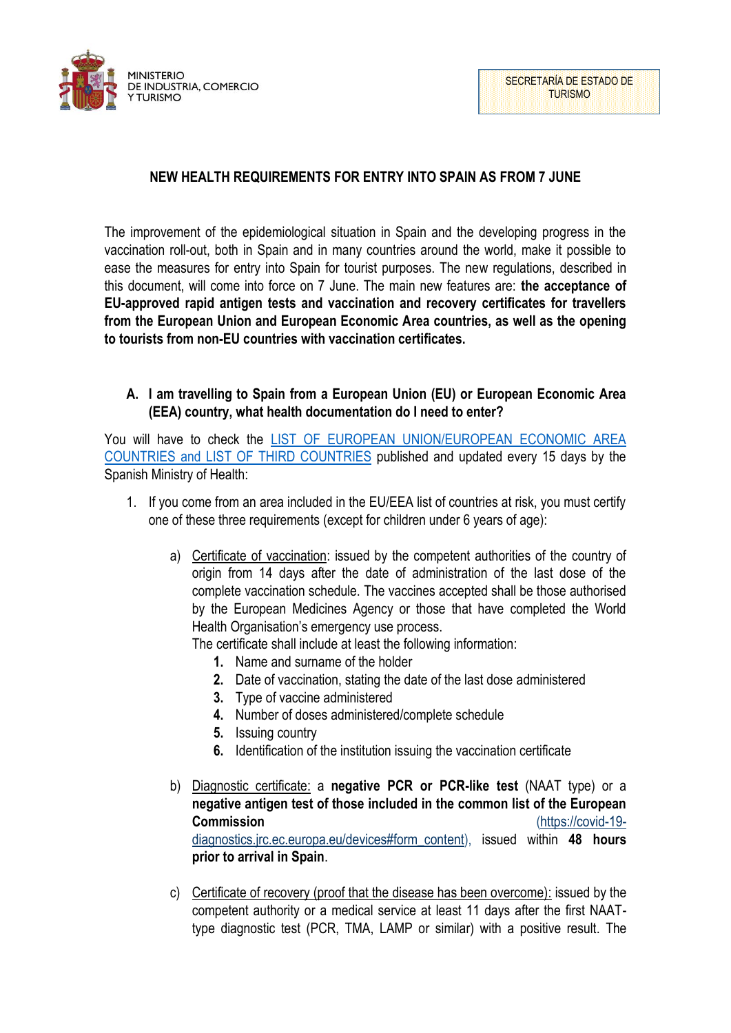

# **NEW HEALTH REQUIREMENTS FOR ENTRY INTO SPAIN AS FROM 7 JUNE**

The improvement of the epidemiological situation in Spain and the developing progress in the vaccination roll-out, both in Spain and in many countries around the world, make it possible to ease the measures for entry into Spain for tourist purposes. The new regulations, described in this document, will come into force on 7 June. The main new features are: **the acceptance of EU-approved rapid antigen tests and vaccination and recovery certificates for travellers from the European Union and European Economic Area countries, as well as the opening to tourists from non-EU countries with vaccination certificates.** 

### **A. I am travelling to Spain from a European Union (EU) or European Economic Area (EEA) country, what health documentation do I need to enter?**

You will have to check the [LIST OF EUROPEAN UNION/EUROPEAN ECONOMIC AREA](https://www.mscbs.gob.es/en/profesionales/saludPublica/ccayes/alertasActual/nCov/documentos/AnnexII_between_07062021-and-20062021.pdf)  [COUNTRIES and LIST OF THIRD COUNTRIES](https://www.mscbs.gob.es/en/profesionales/saludPublica/ccayes/alertasActual/nCov/documentos/AnnexII_between_07062021-and-20062021.pdf) published and updated every 15 days by the Spanish Ministry of Health:

- 1. If you come from an area included in the EU/EEA list of countries at risk, you must certify one of these three requirements (except for children under 6 years of age):
	- a) Certificate of vaccination: issued by the competent authorities of the country of origin from 14 days after the date of administration of the last dose of the complete vaccination schedule. The vaccines accepted shall be those authorised by the European Medicines Agency or those that have completed the World Health Organisation's emergency use process.

The certificate shall include at least the following information:

- **1.** Name and surname of the holder
- **2.** Date of vaccination, stating the date of the last dose administered
- **3.** Type of vaccine administered
- **4.** Number of doses administered/complete schedule
- **5.** Issuing country
- **6.** Identification of the institution issuing the vaccination certificate
- b) Diagnostic certificate: a **negative PCR or PCR-like test** (NAAT type) or a **negative antigen test of those included in the common list of the European Commission** [\(https://covid-19](https://covid-19-diagnostics.jrc.ec.europa.eu/devices#form_content) [diagnostics.jrc.ec.europa.eu/devices#form\\_content\)](https://covid-19-diagnostics.jrc.ec.europa.eu/devices#form_content), issued within **48 hours prior to arrival in Spain**.
- c) Certificate of recovery (proof that the disease has been overcome): issued by the competent authority or a medical service at least 11 days after the first NAATtype diagnostic test (PCR, TMA, LAMP or similar) with a positive result. The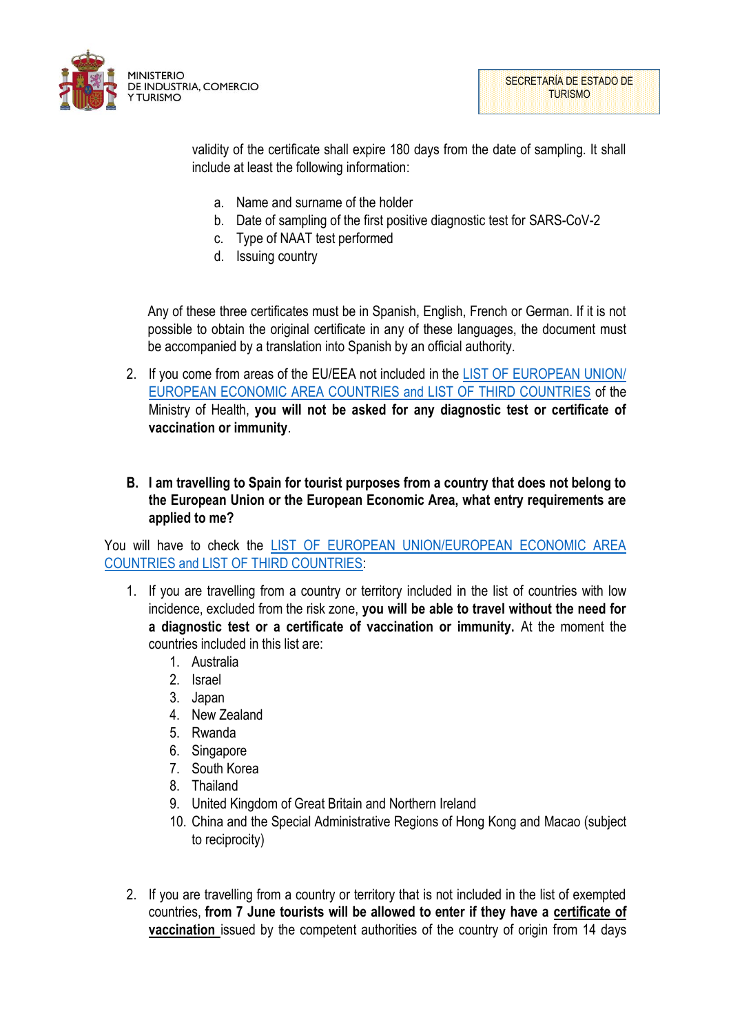

SECRETARÍA DE ESTADO DE TURISMO

validity of the certificate shall expire 180 days from the date of sampling. It shall include at least the following information:

- a. Name and surname of the holder
- b. Date of sampling of the first positive diagnostic test for SARS-CoV-2
- c. Type of NAAT test performed
- d. Issuing country

Any of these three certificates must be in Spanish, English, French or German. If it is not possible to obtain the original certificate in any of these languages, the document must be accompanied by a translation into Spanish by an official authority.

- 2. If you come from areas of the EU/EEA not included in the [LIST OF EUROPEAN UNION/](https://www.mscbs.gob.es/en/profesionales/saludPublica/ccayes/alertasActual/nCov/documentos/AnnexII_between_07062021-and-20062021.pdf)  [EUROPEAN ECONOMIC AREA COUNTRIES and LIST OF THIRD COUNTRIES](https://www.mscbs.gob.es/en/profesionales/saludPublica/ccayes/alertasActual/nCov/documentos/AnnexII_between_07062021-and-20062021.pdf) of the Ministry of Health, **you will not be asked for any diagnostic test or certificate of vaccination or immunity**.
- **B. I am travelling to Spain for tourist purposes from a country that does not belong to the European Union or the European Economic Area, what entry requirements are applied to me?**

You will have to check the [LIST OF EUROPEAN UNION/EUROPEAN ECONOMIC AREA](https://www.mscbs.gob.es/en/profesionales/saludPublica/ccayes/alertasActual/nCov/documentos/AnnexII_between_07062021-and-20062021.pdf)  [COUNTRIES and LIST OF THIRD COUNTRIES:](https://www.mscbs.gob.es/en/profesionales/saludPublica/ccayes/alertasActual/nCov/documentos/AnnexII_between_07062021-and-20062021.pdf)

- 1. If you are travelling from a country or territory included in the list of countries with low incidence, excluded from the risk zone, **you will be able to travel without the need for a diagnostic test or a certificate of vaccination or immunity.** At the moment the countries included in this list are:
	- 1. Australia
	- 2. Israel
	- 3. Japan
	- 4. New Zealand
	- 5. Rwanda
	- 6. Singapore
	- 7. South Korea
	- 8. Thailand
	- 9. United Kingdom of Great Britain and Northern Ireland
	- 10. China and the Special Administrative Regions of Hong Kong and Macao (subject to reciprocity)
- 2. If you are travelling from a country or territory that is not included in the list of exempted countries, **from 7 June tourists will be allowed to enter if they have a certificate of vaccination** issued by the competent authorities of the country of origin from 14 days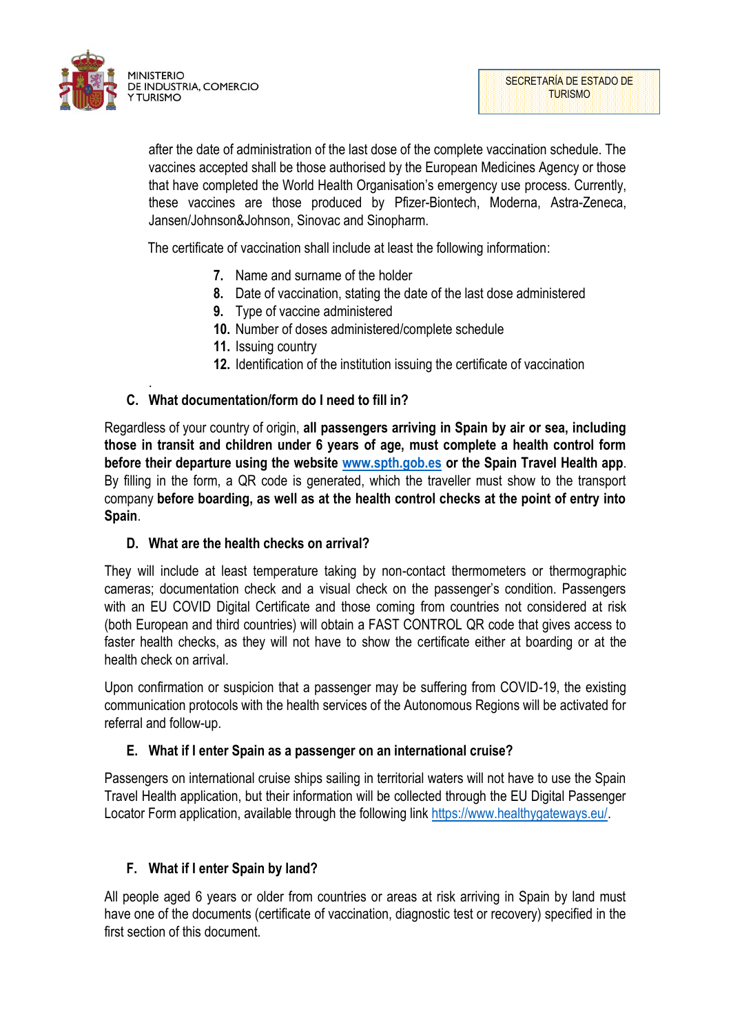

.

after the date of administration of the last dose of the complete vaccination schedule. The vaccines accepted shall be those authorised by the European Medicines Agency or those that have completed the World Health Organisation's emergency use process. Currently, these vaccines are those produced by Pfizer-Biontech, Moderna, Astra-Zeneca, Jansen/Johnson&Johnson, Sinovac and Sinopharm.

The certificate of vaccination shall include at least the following information:

- **7.** Name and surname of the holder
- **8.** Date of vaccination, stating the date of the last dose administered
- **9.** Type of vaccine administered
- **10.** Number of doses administered/complete schedule
- **11.** Issuing country
- **12.** Identification of the institution issuing the certificate of vaccination

### **C. What documentation/form do I need to fill in?**

Regardless of your country of origin, **all passengers arriving in Spain by air or sea, including those in transit and children under 6 years of age, must complete a health control form before their departure using the website [www.spth.gob.es](http://www.spth.gob.es/) or the Spain Travel Health app**. By filling in the form, a QR code is generated, which the traveller must show to the transport company **before boarding, as well as at the health control checks at the point of entry into Spain**.

#### **D. What are the health checks on arrival?**

They will include at least temperature taking by non-contact thermometers or thermographic cameras; documentation check and a visual check on the passenger's condition. Passengers with an EU COVID Digital Certificate and those coming from countries not considered at risk (both European and third countries) will obtain a FAST CONTROL QR code that gives access to faster health checks, as they will not have to show the certificate either at boarding or at the health check on arrival.

Upon confirmation or suspicion that a passenger may be suffering from COVID-19, the existing communication protocols with the health services of the Autonomous Regions will be activated for referral and follow-up.

## **E. What if I enter Spain as a passenger on an international cruise?**

Passengers on international cruise ships sailing in territorial waters will not have to use the Spain Travel Health application, but their information will be collected through the EU Digital Passenger Locator Form application, available through the following link [https://www.healthygateways.eu/.](https://www.healthygateways.eu/)

## **F. What if I enter Spain by land?**

All people aged 6 years or older from countries or areas at risk arriving in Spain by land must have one of the documents (certificate of vaccination, diagnostic test or recovery) specified in the first section of this document.